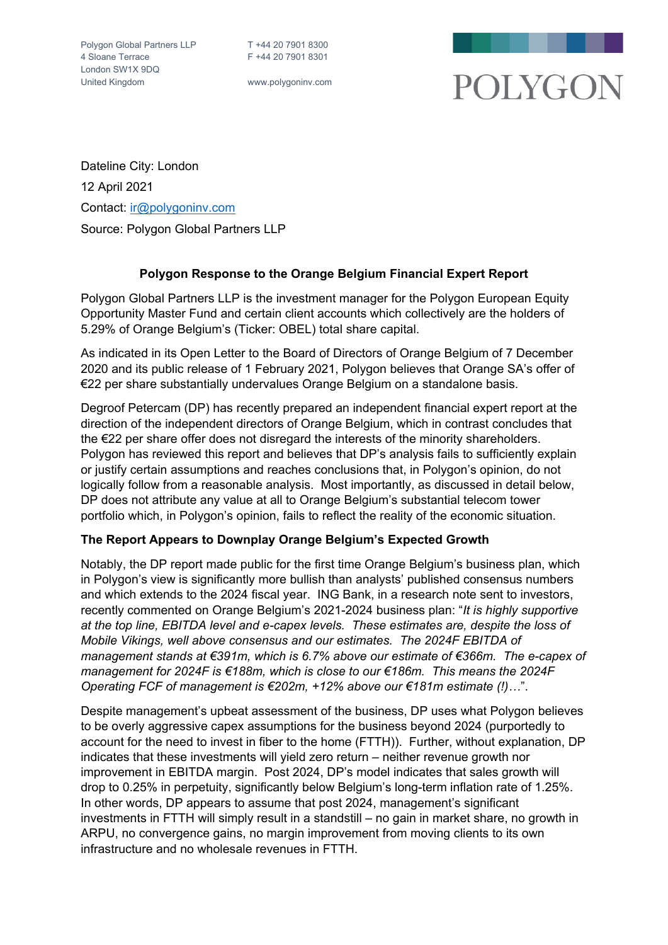

Dateline City: London 12 April 2021 Contact: [ir@polygoninv.com](mailto:ir@polygoninv.com) Source: Polygon Global Partners LLP

# **Polygon Response to the Orange Belgium Financial Expert Report**

Polygon Global Partners LLP is the investment manager for the Polygon European Equity Opportunity Master Fund and certain client accounts which collectively are the holders of 5.29% of Orange Belgium's (Ticker: OBEL) total share capital.

As indicated in its Open Letter to the Board of Directors of Orange Belgium of 7 December 2020 and its public release of 1 February 2021, Polygon believes that Orange SA's offer of €22 per share substantially undervalues Orange Belgium on a standalone basis.

Degroof Petercam (DP) has recently prepared an independent financial expert report at the direction of the independent directors of Orange Belgium, which in contrast concludes that the €22 per share offer does not disregard the interests of the minority shareholders. Polygon has reviewed this report and believes that DP's analysis fails to sufficiently explain or justify certain assumptions and reaches conclusions that, in Polygon's opinion, do not logically follow from a reasonable analysis. Most importantly, as discussed in detail below, DP does not attribute any value at all to Orange Belgium's substantial telecom tower portfolio which, in Polygon's opinion, fails to reflect the reality of the economic situation.

## **The Report Appears to Downplay Orange Belgium's Expected Growth**

Notably, the DP report made public for the first time Orange Belgium's business plan, which in Polygon's view is significantly more bullish than analysts' published consensus numbers and which extends to the 2024 fiscal year. ING Bank, in a research note sent to investors, recently commented on Orange Belgium's 2021-2024 business plan: "*It is highly supportive at the top line, EBITDA level and e-capex levels. These estimates are, despite the loss of Mobile Vikings, well above consensus and our estimates. The 2024F EBITDA of management stands at €391m, which is 6.7% above our estimate of €366m. The e-capex of management for 2024F is €188m, which is close to our €186m. This means the 2024F Operating FCF of management is €202m, +12% above our €181m estimate (!)…*".

Despite management's upbeat assessment of the business, DP uses what Polygon believes to be overly aggressive capex assumptions for the business beyond 2024 (purportedly to account for the need to invest in fiber to the home (FTTH)). Further, without explanation, DP indicates that these investments will yield zero return – neither revenue growth nor improvement in EBITDA margin. Post 2024, DP's model indicates that sales growth will drop to 0.25% in perpetuity, significantly below Belgium's long-term inflation rate of 1.25%. In other words, DP appears to assume that post 2024, management's significant investments in FTTH will simply result in a standstill – no gain in market share, no growth in ARPU, no convergence gains, no margin improvement from moving clients to its own infrastructure and no wholesale revenues in FTTH.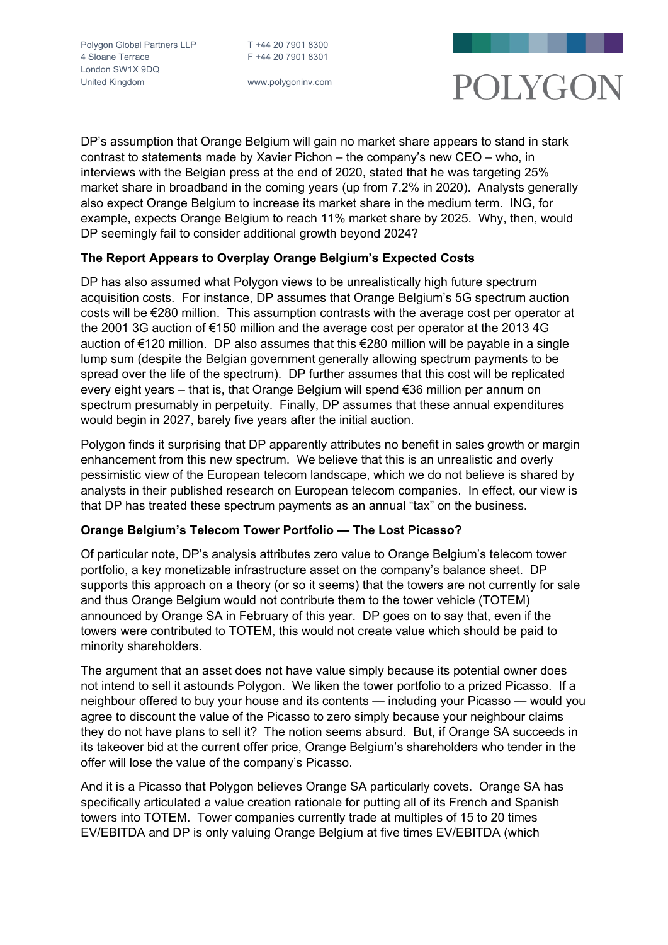

DP's assumption that Orange Belgium will gain no market share appears to stand in stark contrast to statements made by Xavier Pichon – the company's new CEO – who, in interviews with the Belgian press at the end of 2020, stated that he was targeting 25% market share in broadband in the coming years (up from 7.2% in 2020). Analysts generally also expect Orange Belgium to increase its market share in the medium term. ING, for example, expects Orange Belgium to reach 11% market share by 2025. Why, then, would DP seemingly fail to consider additional growth beyond 2024?

## **The Report Appears to Overplay Orange Belgium's Expected Costs**

DP has also assumed what Polygon views to be unrealistically high future spectrum acquisition costs. For instance, DP assumes that Orange Belgium's 5G spectrum auction costs will be €280 million. This assumption contrasts with the average cost per operator at the 2001 3G auction of €150 million and the average cost per operator at the 2013 4G auction of €120 million. DP also assumes that this €280 million will be payable in a single lump sum (despite the Belgian government generally allowing spectrum payments to be spread over the life of the spectrum). DP further assumes that this cost will be replicated every eight years – that is, that Orange Belgium will spend €36 million per annum on spectrum presumably in perpetuity. Finally, DP assumes that these annual expenditures would begin in 2027, barely five years after the initial auction.

Polygon finds it surprising that DP apparently attributes no benefit in sales growth or margin enhancement from this new spectrum. We believe that this is an unrealistic and overly pessimistic view of the European telecom landscape, which we do not believe is shared by analysts in their published research on European telecom companies. In effect, our view is that DP has treated these spectrum payments as an annual "tax" on the business.

## **Orange Belgium's Telecom Tower Portfolio — The Lost Picasso?**

Of particular note, DP's analysis attributes zero value to Orange Belgium's telecom tower portfolio, a key monetizable infrastructure asset on the company's balance sheet. DP supports this approach on a theory (or so it seems) that the towers are not currently for sale and thus Orange Belgium would not contribute them to the tower vehicle (TOTEM) announced by Orange SA in February of this year. DP goes on to say that, even if the towers were contributed to TOTEM, this would not create value which should be paid to minority shareholders.

The argument that an asset does not have value simply because its potential owner does not intend to sell it astounds Polygon. We liken the tower portfolio to a prized Picasso. If a neighbour offered to buy your house and its contents — including your Picasso — would you agree to discount the value of the Picasso to zero simply because your neighbour claims they do not have plans to sell it? The notion seems absurd. But, if Orange SA succeeds in its takeover bid at the current offer price, Orange Belgium's shareholders who tender in the offer will lose the value of the company's Picasso.

And it is a Picasso that Polygon believes Orange SA particularly covets. Orange SA has specifically articulated a value creation rationale for putting all of its French and Spanish towers into TOTEM. Tower companies currently trade at multiples of 15 to 20 times EV/EBITDA and DP is only valuing Orange Belgium at five times EV/EBITDA (which